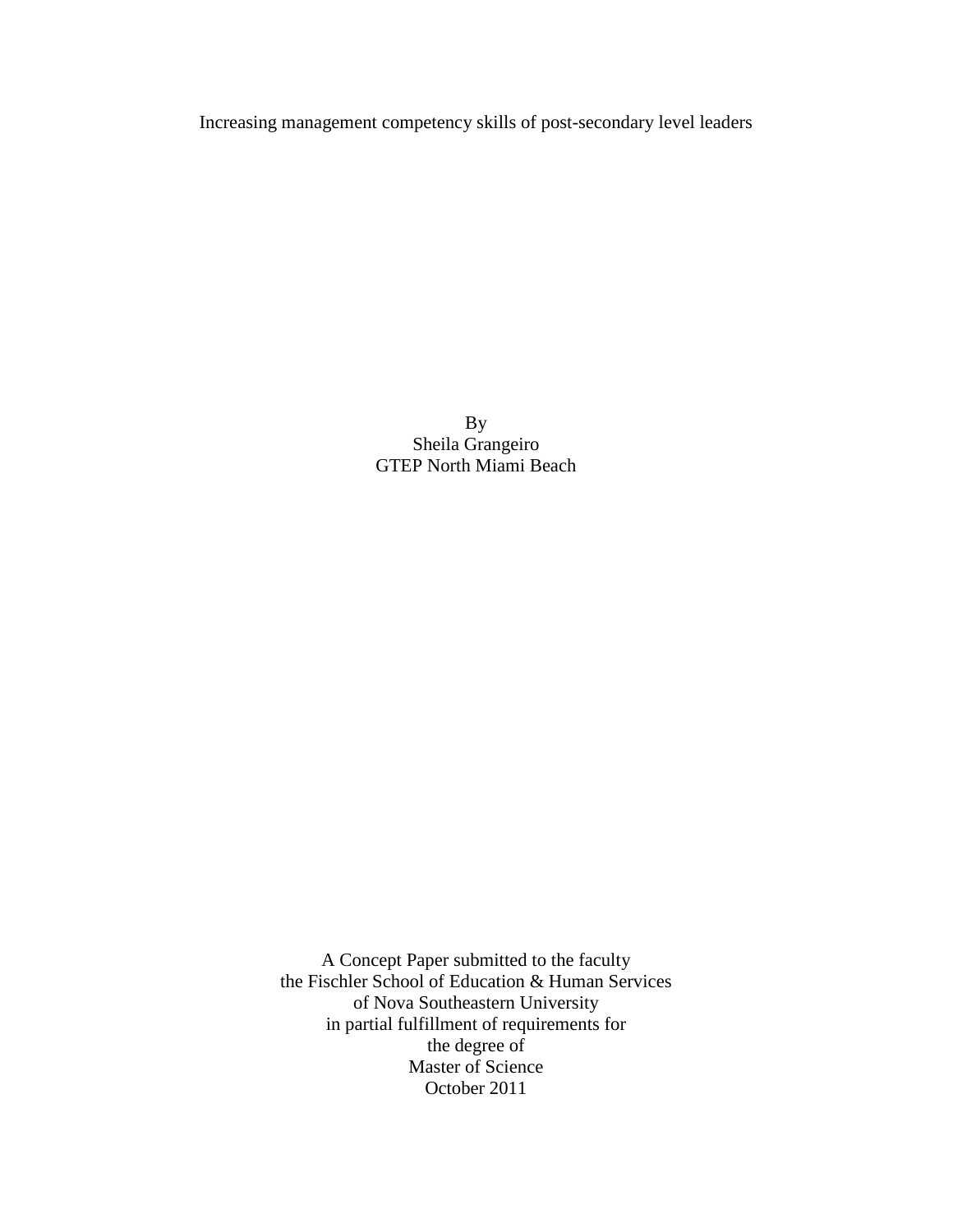Increasing management competency skills of post-secondary level leaders

By Sheila Grangeiro GTEP North Miami Beach

A Concept Paper submitted to the faculty the Fischler School of Education & Human Services of Nova Southeastern University in partial fulfillment of requirements for the degree of Master of Science October 2011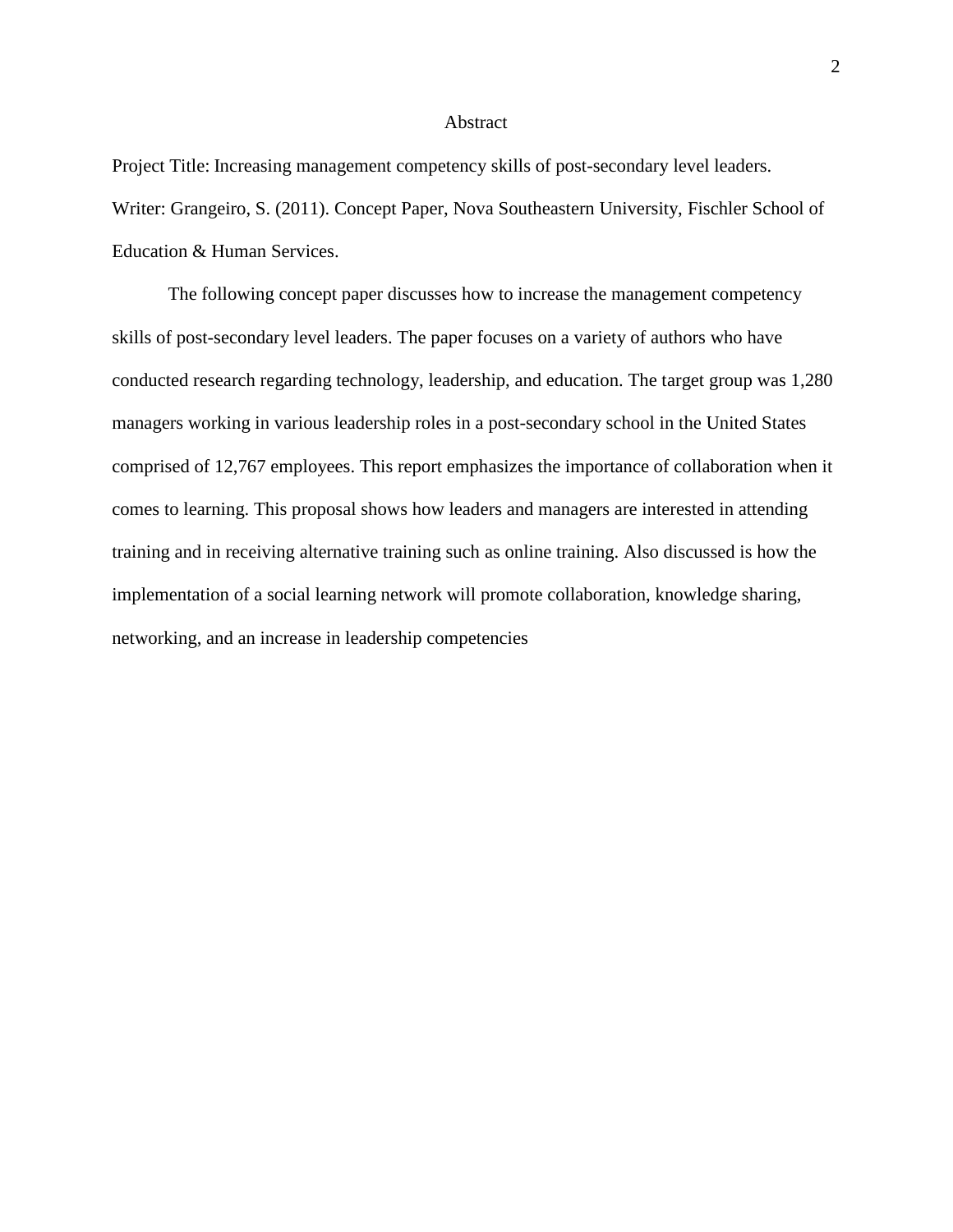#### Abstract

Project Title: Increasing management competency skills of post-secondary level leaders. Writer: Grangeiro, S. (2011). Concept Paper, Nova Southeastern University, Fischler School of Education & Human Services.

The following concept paper discusses how to increase the management competency skills of post-secondary level leaders. The paper focuses on a variety of authors who have conducted research regarding technology, leadership, and education. The target group was 1,280 managers working in various leadership roles in a post-secondary school in the United States comprised of 12,767 employees. This report emphasizes the importance of collaboration when it comes to learning. This proposal shows how leaders and managers are interested in attending training and in receiving alternative training such as online training. Also discussed is how the implementation of a social learning network will promote collaboration, knowledge sharing, networking, and an increase in leadership competencies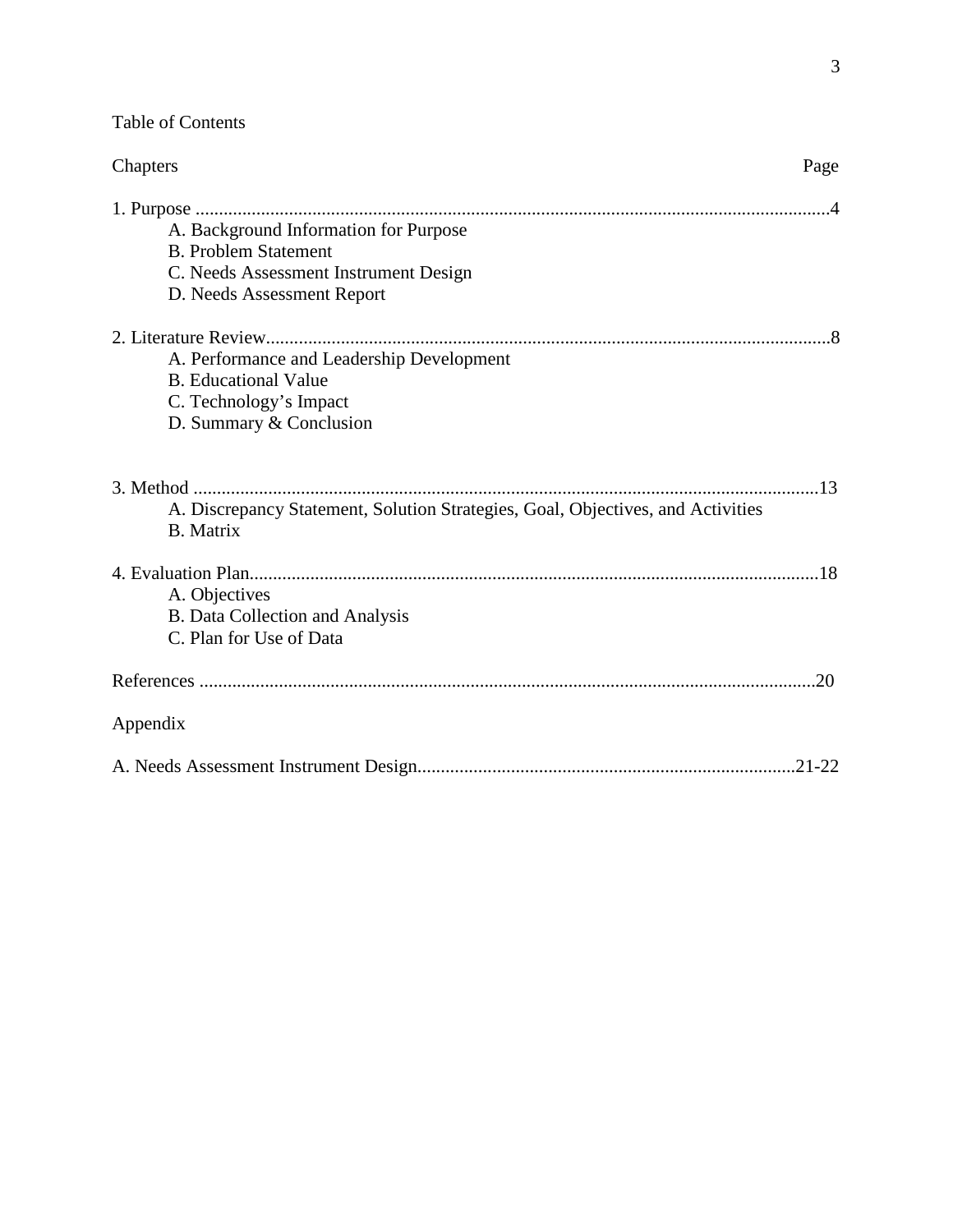Table of Contents

| Chapters                                                                                            | Page       |
|-----------------------------------------------------------------------------------------------------|------------|
|                                                                                                     |            |
| A. Background Information for Purpose                                                               |            |
| <b>B. Problem Statement</b>                                                                         |            |
| C. Needs Assessment Instrument Design                                                               |            |
| D. Needs Assessment Report                                                                          |            |
|                                                                                                     |            |
| A. Performance and Leadership Development                                                           |            |
| <b>B.</b> Educational Value                                                                         |            |
| C. Technology's Impact                                                                              |            |
| D. Summary & Conclusion                                                                             |            |
|                                                                                                     |            |
| A. Discrepancy Statement, Solution Strategies, Goal, Objectives, and Activities<br><b>B.</b> Matrix |            |
|                                                                                                     |            |
| A. Objectives                                                                                       |            |
| <b>B.</b> Data Collection and Analysis                                                              |            |
| C. Plan for Use of Data                                                                             |            |
|                                                                                                     | .20        |
| Appendix                                                                                            |            |
|                                                                                                     | $.21 - 22$ |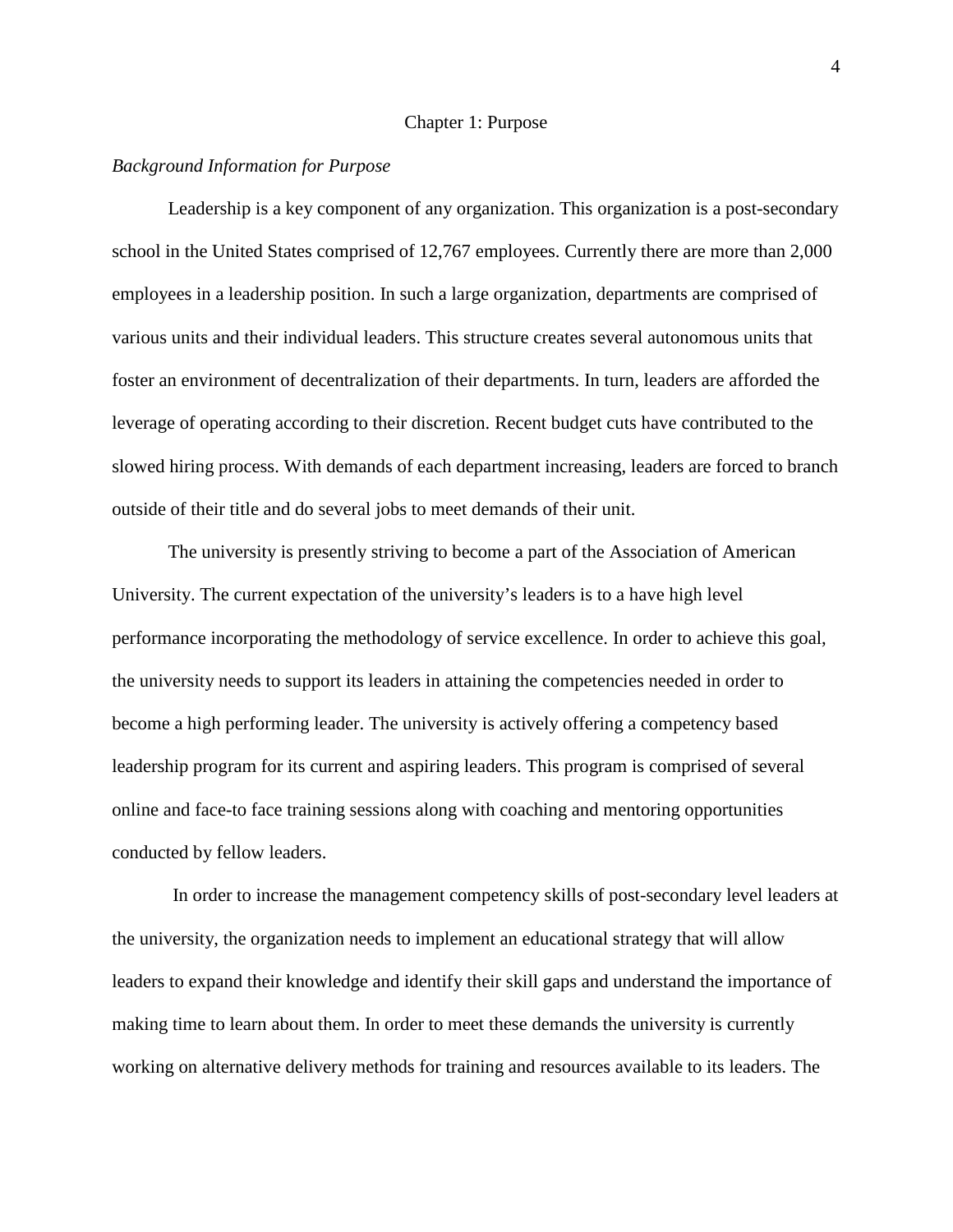#### Chapter 1: Purpose

# *Background Information for Purpose*

Leadership is a key component of any organization. This organization is a post-secondary school in the United States comprised of 12,767 employees. Currently there are more than 2,000 employees in a leadership position. In such a large organization, departments are comprised of various units and their individual leaders. This structure creates several autonomous units that foster an environment of decentralization of their departments. In turn, leaders are afforded the leverage of operating according to their discretion. Recent budget cuts have contributed to the slowed hiring process. With demands of each department increasing, leaders are forced to branch outside of their title and do several jobs to meet demands of their unit.

The university is presently striving to become a part of the Association of American University. The current expectation of the university's leaders is to a have high level performance incorporating the methodology of service excellence. In order to achieve this goal, the university needs to support its leaders in attaining the competencies needed in order to become a high performing leader. The university is actively offering a competency based leadership program for its current and aspiring leaders. This program is comprised of several online and face-to face training sessions along with coaching and mentoring opportunities conducted by fellow leaders.

In order to increase the management competency skills of post-secondary level leaders at the university, the organization needs to implement an educational strategy that will allow leaders to expand their knowledge and identify their skill gaps and understand the importance of making time to learn about them. In order to meet these demands the university is currently working on alternative delivery methods for training and resources available to its leaders. The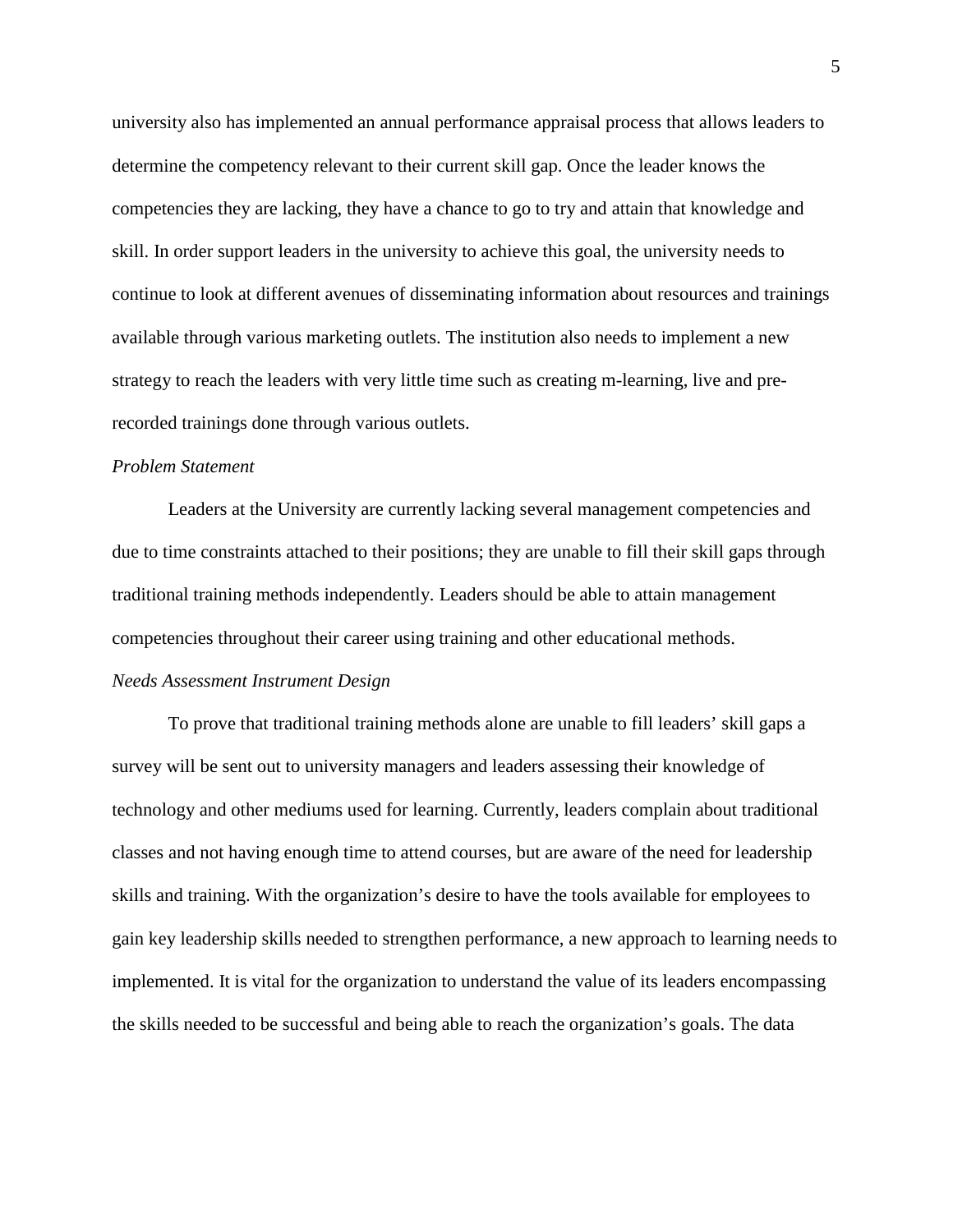university also has implemented an annual performance appraisal process that allows leaders to determine the competency relevant to their current skill gap. Once the leader knows the competencies they are lacking, they have a chance to go to try and attain that knowledge and skill. In order support leaders in the university to achieve this goal, the university needs to continue to look at different avenues of disseminating information about resources and trainings available through various marketing outlets. The institution also needs to implement a new strategy to reach the leaders with very little time such as creating m-learning, live and prerecorded trainings done through various outlets.

## *Problem Statement*

Leaders at the University are currently lacking several management competencies and due to time constraints attached to their positions; they are unable to fill their skill gaps through traditional training methods independently. Leaders should be able to attain management competencies throughout their career using training and other educational methods. *Needs Assessment Instrument Design*

To prove that traditional training methods alone are unable to fill leaders' skill gaps a survey will be sent out to university managers and leaders assessing their knowledge of technology and other mediums used for learning. Currently, leaders complain about traditional classes and not having enough time to attend courses, but are aware of the need for leadership skills and training. With the organization's desire to have the tools available for employees to gain key leadership skills needed to strengthen performance, a new approach to learning needs to implemented. It is vital for the organization to understand the value of its leaders encompassing the skills needed to be successful and being able to reach the organization's goals. The data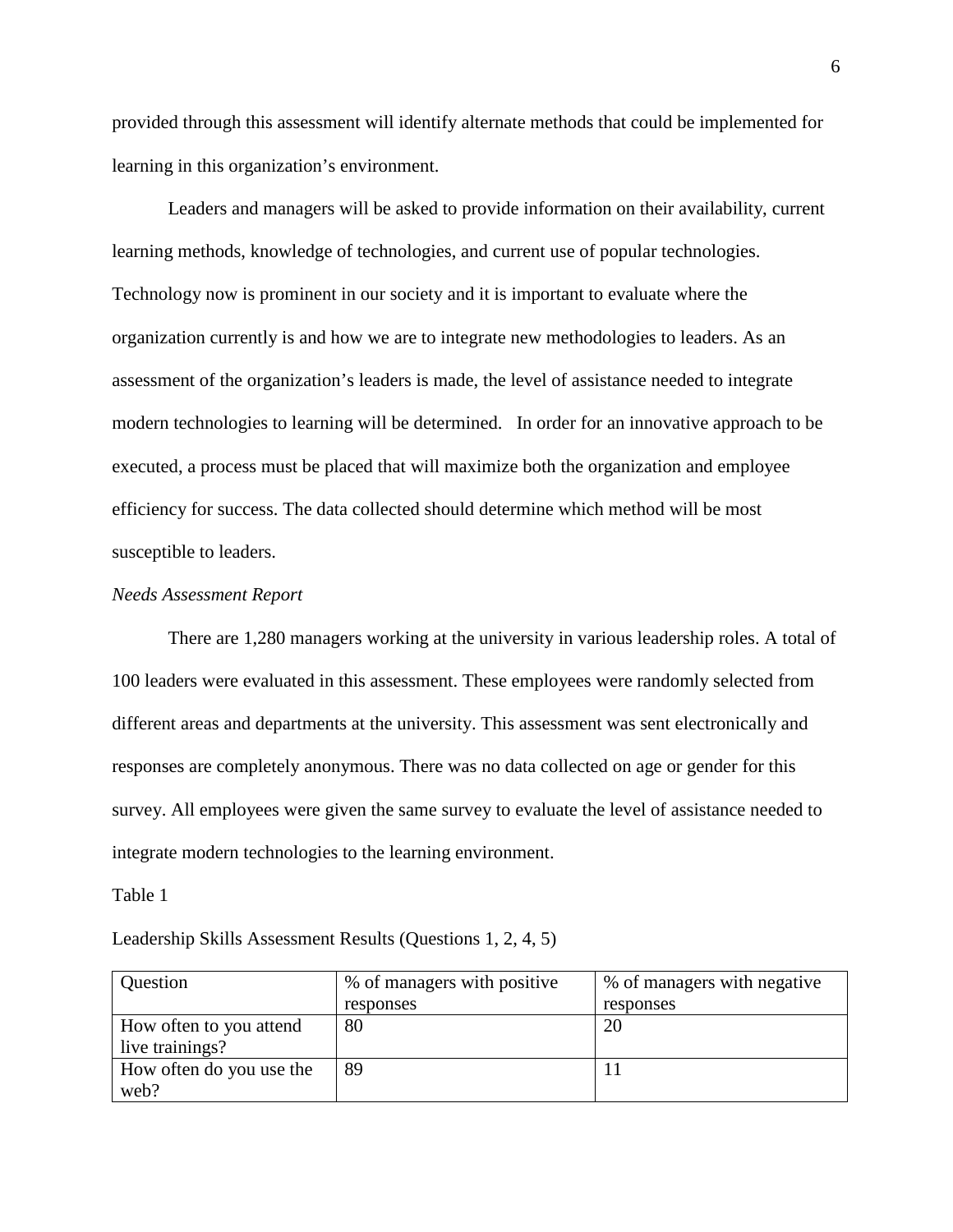provided through this assessment will identify alternate methods that could be implemented for learning in this organization's environment.

Leaders and managers will be asked to provide information on their availability, current learning methods, knowledge of technologies, and current use of popular technologies. Technology now is prominent in our society and it is important to evaluate where the organization currently is and how we are to integrate new methodologies to leaders. As an assessment of the organization's leaders is made, the level of assistance needed to integrate modern technologies to learning will be determined. In order for an innovative approach to be executed, a process must be placed that will maximize both the organization and employee efficiency for success. The data collected should determine which method will be most susceptible to leaders.

#### *Needs Assessment Report*

There are 1,280 managers working at the university in various leadership roles. A total of 100 leaders were evaluated in this assessment. These employees were randomly selected from different areas and departments at the university. This assessment was sent electronically and responses are completely anonymous. There was no data collected on age or gender for this survey. All employees were given the same survey to evaluate the level of assistance needed to integrate modern technologies to the learning environment.

#### Table 1

Leadership Skills Assessment Results (Questions 1, 2, 4, 5)

| Question                 | % of managers with positive | % of managers with negative |
|--------------------------|-----------------------------|-----------------------------|
|                          | responses                   | responses                   |
| How often to you attend  | 80                          | 20                          |
| live trainings?          |                             |                             |
| How often do you use the | 89                          |                             |
| web?                     |                             |                             |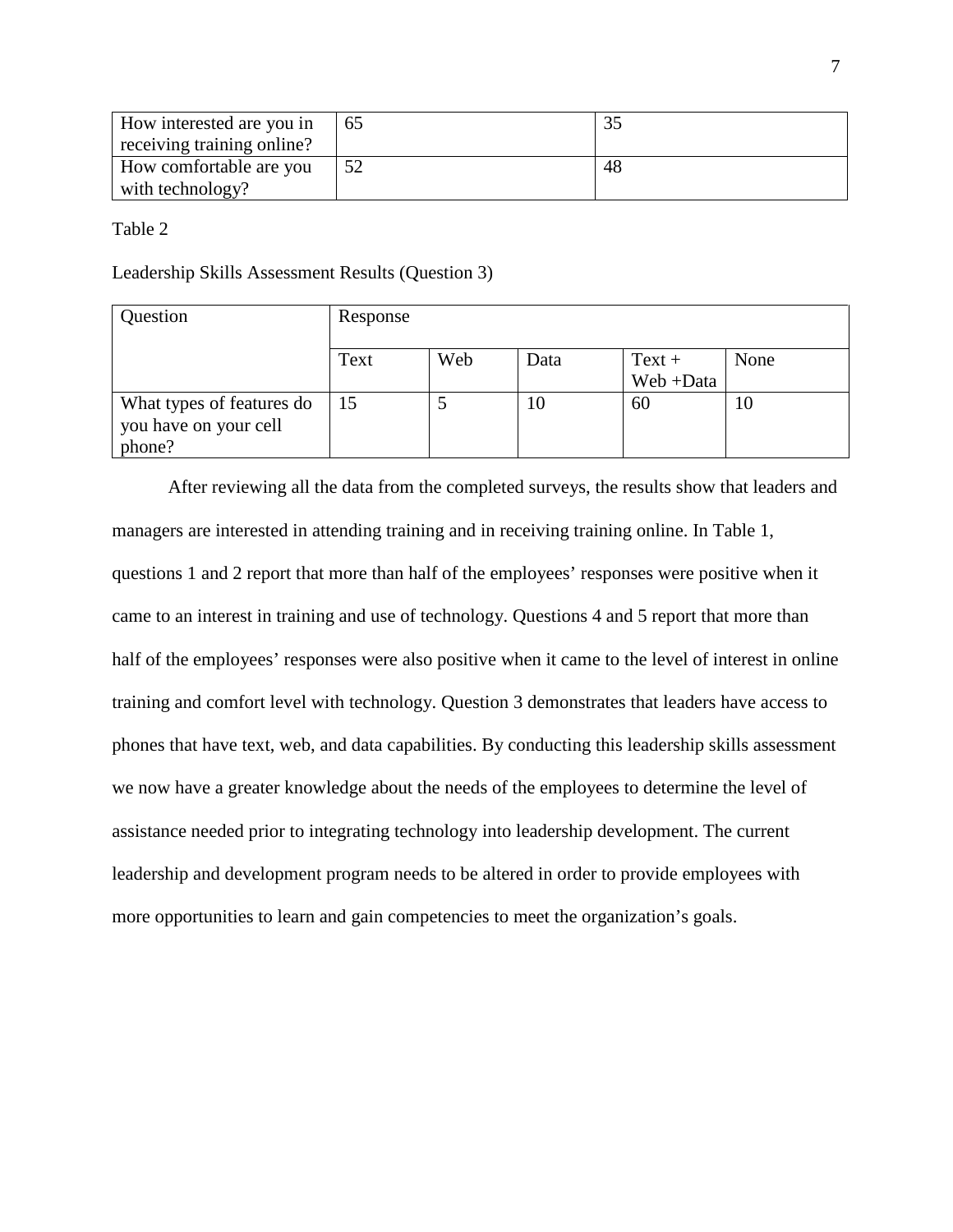| How interested are you in  | 65 |     |
|----------------------------|----|-----|
| receiving training online? |    |     |
| How comfortable are you    |    | -48 |
| with technology?           |    |     |

Table 2

Leadership Skills Assessment Results (Question 3)

| Question                                                     | Response |     |      |                      |      |
|--------------------------------------------------------------|----------|-----|------|----------------------|------|
|                                                              | Text     | Web | Data | $Text +$<br>Web+Data | None |
| What types of features do<br>you have on your cell<br>phone? | 15       |     | 10   | 60                   | 10   |

After reviewing all the data from the completed surveys, the results show that leaders and managers are interested in attending training and in receiving training online. In Table 1, questions 1 and 2 report that more than half of the employees' responses were positive when it came to an interest in training and use of technology. Questions 4 and 5 report that more than half of the employees' responses were also positive when it came to the level of interest in online training and comfort level with technology. Question 3 demonstrates that leaders have access to phones that have text, web, and data capabilities. By conducting this leadership skills assessment we now have a greater knowledge about the needs of the employees to determine the level of assistance needed prior to integrating technology into leadership development. The current leadership and development program needs to be altered in order to provide employees with more opportunities to learn and gain competencies to meet the organization's goals.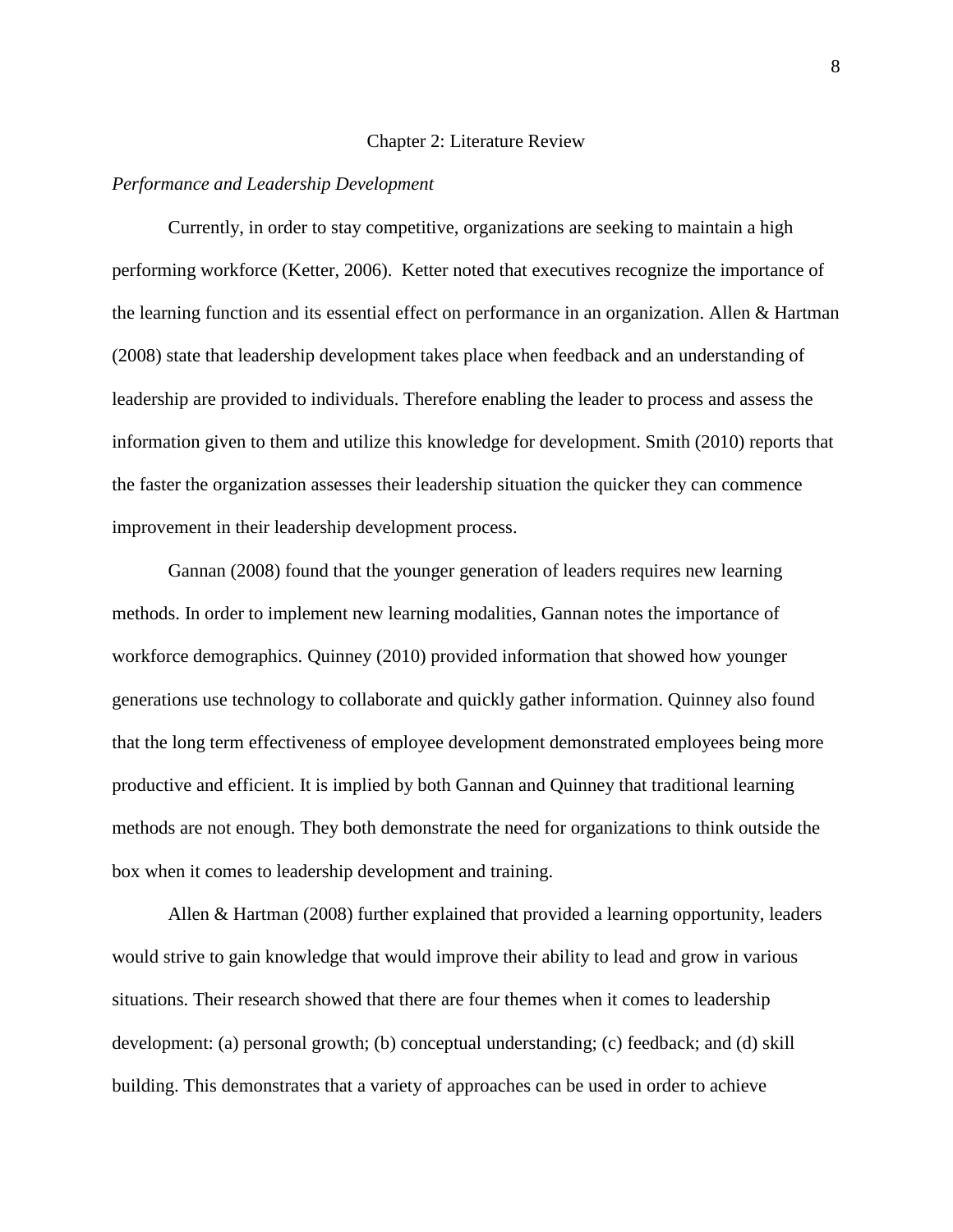#### Chapter 2: Literature Review

#### *Performance and Leadership Development*

Currently, in order to stay competitive, organizations are seeking to maintain a high performing workforce (Ketter, 2006). Ketter noted that executives recognize the importance of the learning function and its essential effect on performance in an organization. Allen & Hartman (2008) state that leadership development takes place when feedback and an understanding of leadership are provided to individuals. Therefore enabling the leader to process and assess the information given to them and utilize this knowledge for development. Smith (2010) reports that the faster the organization assesses their leadership situation the quicker they can commence improvement in their leadership development process.

 Gannan (2008) found that the younger generation of leaders requires new learning methods. In order to implement new learning modalities, Gannan notes the importance of workforce demographics. Quinney (2010) provided information that showed how younger generations use technology to collaborate and quickly gather information. Quinney also found that the long term effectiveness of employee development demonstrated employees being more productive and efficient. It is implied by both Gannan and Quinney that traditional learning methods are not enough. They both demonstrate the need for organizations to think outside the box when it comes to leadership development and training.

 Allen & Hartman (2008) further explained that provided a learning opportunity, leaders would strive to gain knowledge that would improve their ability to lead and grow in various situations. Their research showed that there are four themes when it comes to leadership development: (a) personal growth; (b) conceptual understanding; (c) feedback; and (d) skill building. This demonstrates that a variety of approaches can be used in order to achieve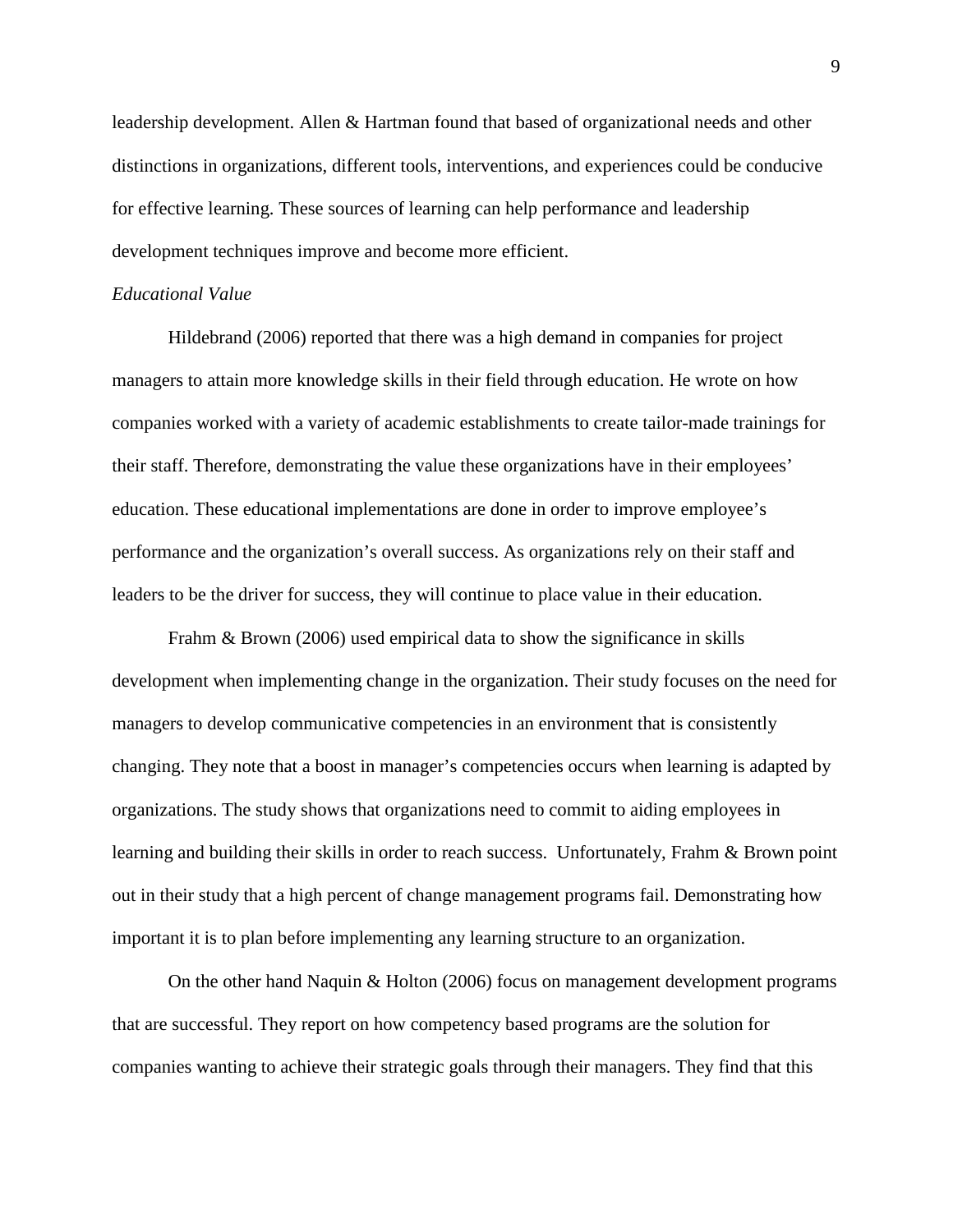leadership development. Allen & Hartman found that based of organizational needs and other distinctions in organizations, different tools, interventions, and experiences could be conducive for effective learning. These sources of learning can help performance and leadership development techniques improve and become more efficient.

## *Educational Value*

Hildebrand (2006) reported that there was a high demand in companies for project managers to attain more knowledge skills in their field through education. He wrote on how companies worked with a variety of academic establishments to create tailor-made trainings for their staff. Therefore, demonstrating the value these organizations have in their employees' education. These educational implementations are done in order to improve employee's performance and the organization's overall success. As organizations rely on their staff and leaders to be the driver for success, they will continue to place value in their education.

Frahm & Brown (2006) used empirical data to show the significance in skills development when implementing change in the organization. Their study focuses on the need for managers to develop communicative competencies in an environment that is consistently changing. They note that a boost in manager's competencies occurs when learning is adapted by organizations. The study shows that organizations need to commit to aiding employees in learning and building their skills in order to reach success. Unfortunately, Frahm & Brown point out in their study that a high percent of change management programs fail. Demonstrating how important it is to plan before implementing any learning structure to an organization.

On the other hand Naquin & Holton (2006) focus on management development programs that are successful. They report on how competency based programs are the solution for companies wanting to achieve their strategic goals through their managers. They find that this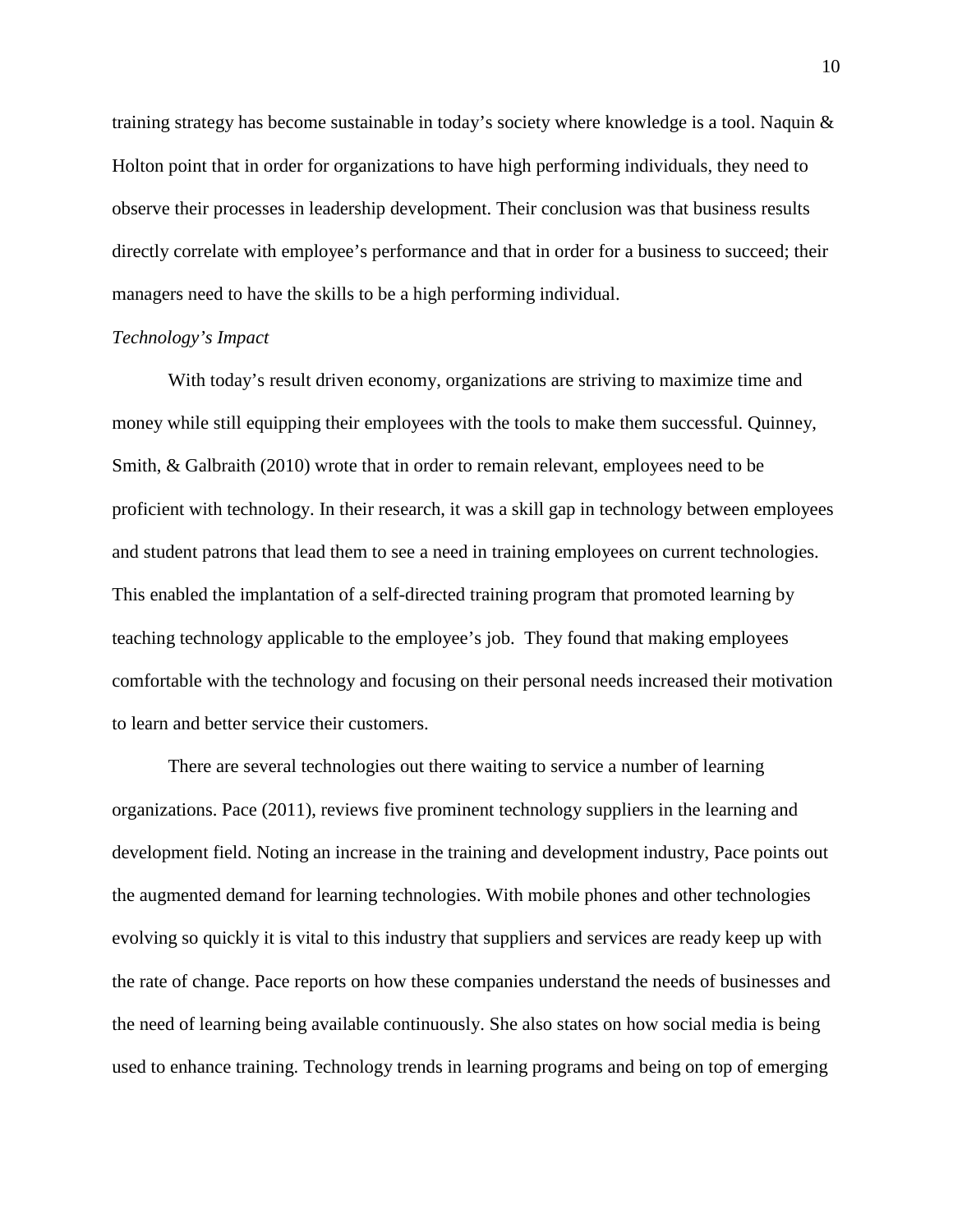training strategy has become sustainable in today's society where knowledge is a tool. Naquin  $\&$ Holton point that in order for organizations to have high performing individuals, they need to observe their processes in leadership development. Their conclusion was that business results directly correlate with employee's performance and that in order for a business to succeed; their managers need to have the skills to be a high performing individual.

## *Technology's Impact*

With today's result driven economy, organizations are striving to maximize time and money while still equipping their employees with the tools to make them successful. Quinney, Smith, & Galbraith (2010) wrote that in order to remain relevant, employees need to be proficient with technology. In their research, it was a skill gap in technology between employees and student patrons that lead them to see a need in training employees on current technologies. This enabled the implantation of a self-directed training program that promoted learning by teaching technology applicable to the employee's job. They found that making employees comfortable with the technology and focusing on their personal needs increased their motivation to learn and better service their customers.

There are several technologies out there waiting to service a number of learning organizations. Pace (2011), reviews five prominent technology suppliers in the learning and development field. Noting an increase in the training and development industry, Pace points out the augmented demand for learning technologies. With mobile phones and other technologies evolving so quickly it is vital to this industry that suppliers and services are ready keep up with the rate of change. Pace reports on how these companies understand the needs of businesses and the need of learning being available continuously. She also states on how social media is being used to enhance training. Technology trends in learning programs and being on top of emerging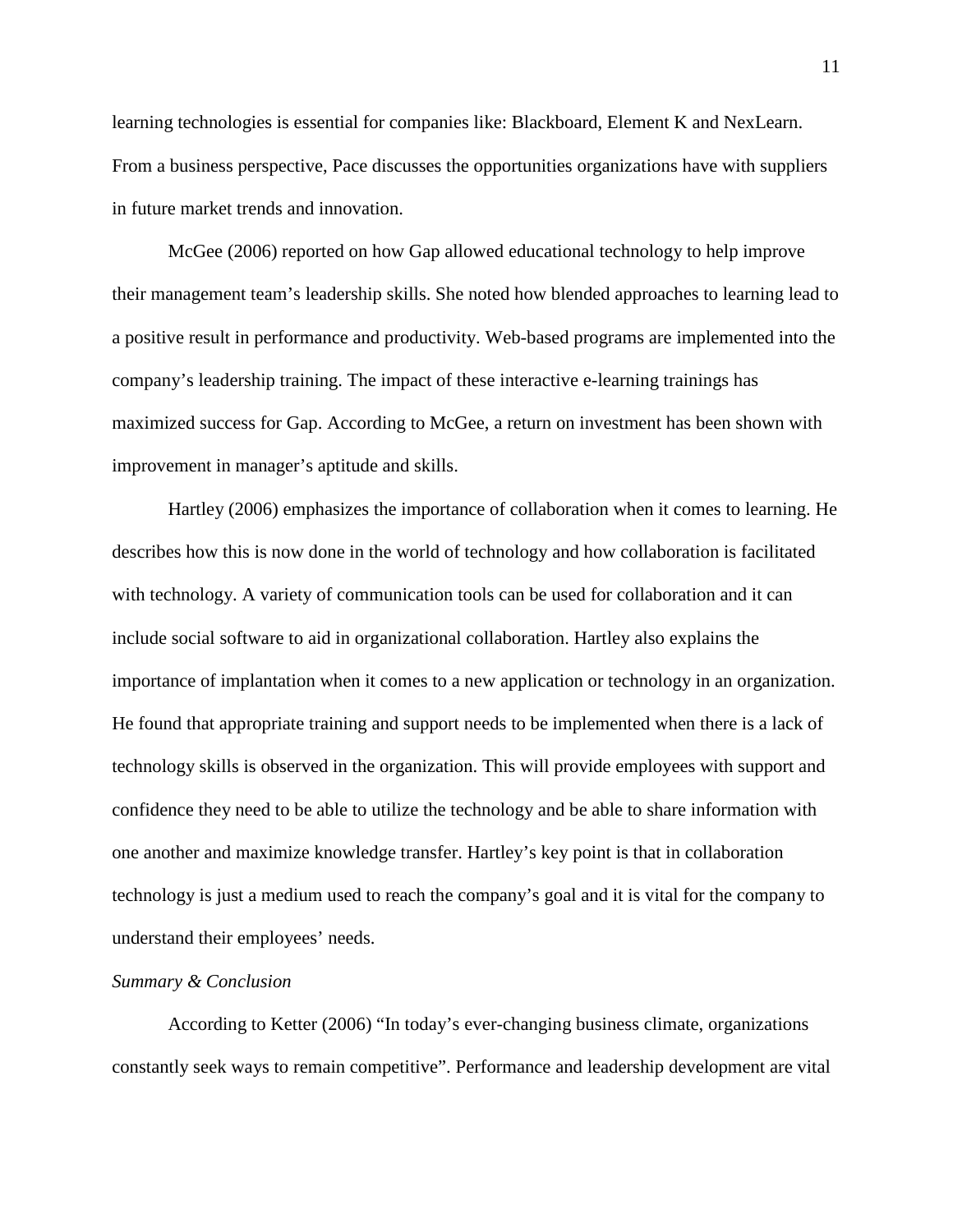learning technologies is essential for companies like: Blackboard, Element K and NexLearn. From a business perspective, Pace discusses the opportunities organizations have with suppliers in future market trends and innovation.

McGee (2006) reported on how Gap allowed educational technology to help improve their management team's leadership skills. She noted how blended approaches to learning lead to a positive result in performance and productivity. Web-based programs are implemented into the company's leadership training. The impact of these interactive e-learning trainings has maximized success for Gap. According to McGee, a return on investment has been shown with improvement in manager's aptitude and skills.

Hartley (2006) emphasizes the importance of collaboration when it comes to learning. He describes how this is now done in the world of technology and how collaboration is facilitated with technology. A variety of communication tools can be used for collaboration and it can include social software to aid in organizational collaboration. Hartley also explains the importance of implantation when it comes to a new application or technology in an organization. He found that appropriate training and support needs to be implemented when there is a lack of technology skills is observed in the organization. This will provide employees with support and confidence they need to be able to utilize the technology and be able to share information with one another and maximize knowledge transfer. Hartley's key point is that in collaboration technology is just a medium used to reach the company's goal and it is vital for the company to understand their employees' needs.

#### *Summary & Conclusion*

According to Ketter (2006) "In today's ever-changing business climate, organizations constantly seek ways to remain competitive". Performance and leadership development are vital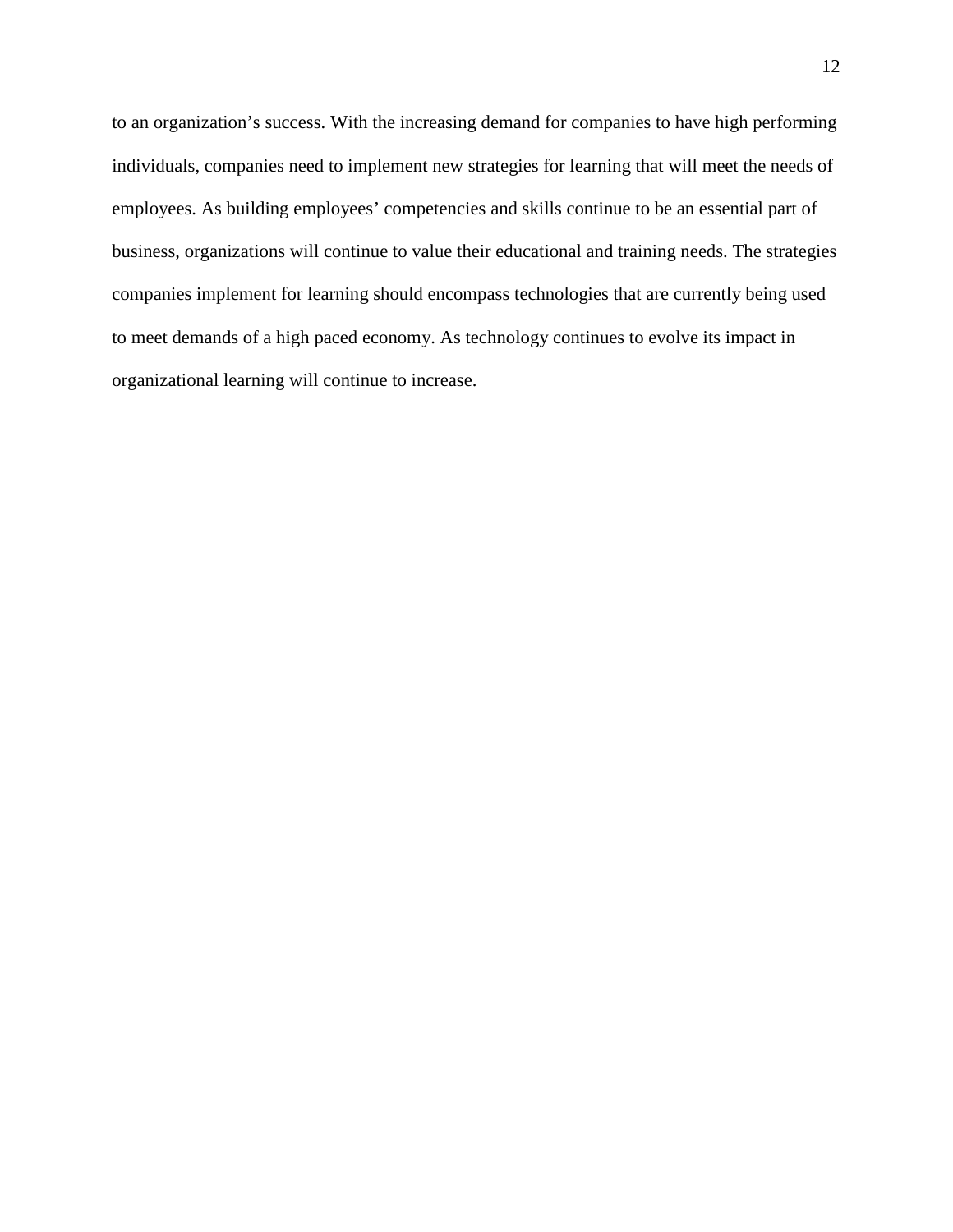to an organization's success. With the increasing demand for companies to have high performing individuals, companies need to implement new strategies for learning that will meet the needs of employees. As building employees' competencies and skills continue to be an essential part of business, organizations will continue to value their educational and training needs. The strategies companies implement for learning should encompass technologies that are currently being used to meet demands of a high paced economy. As technology continues to evolve its impact in organizational learning will continue to increase.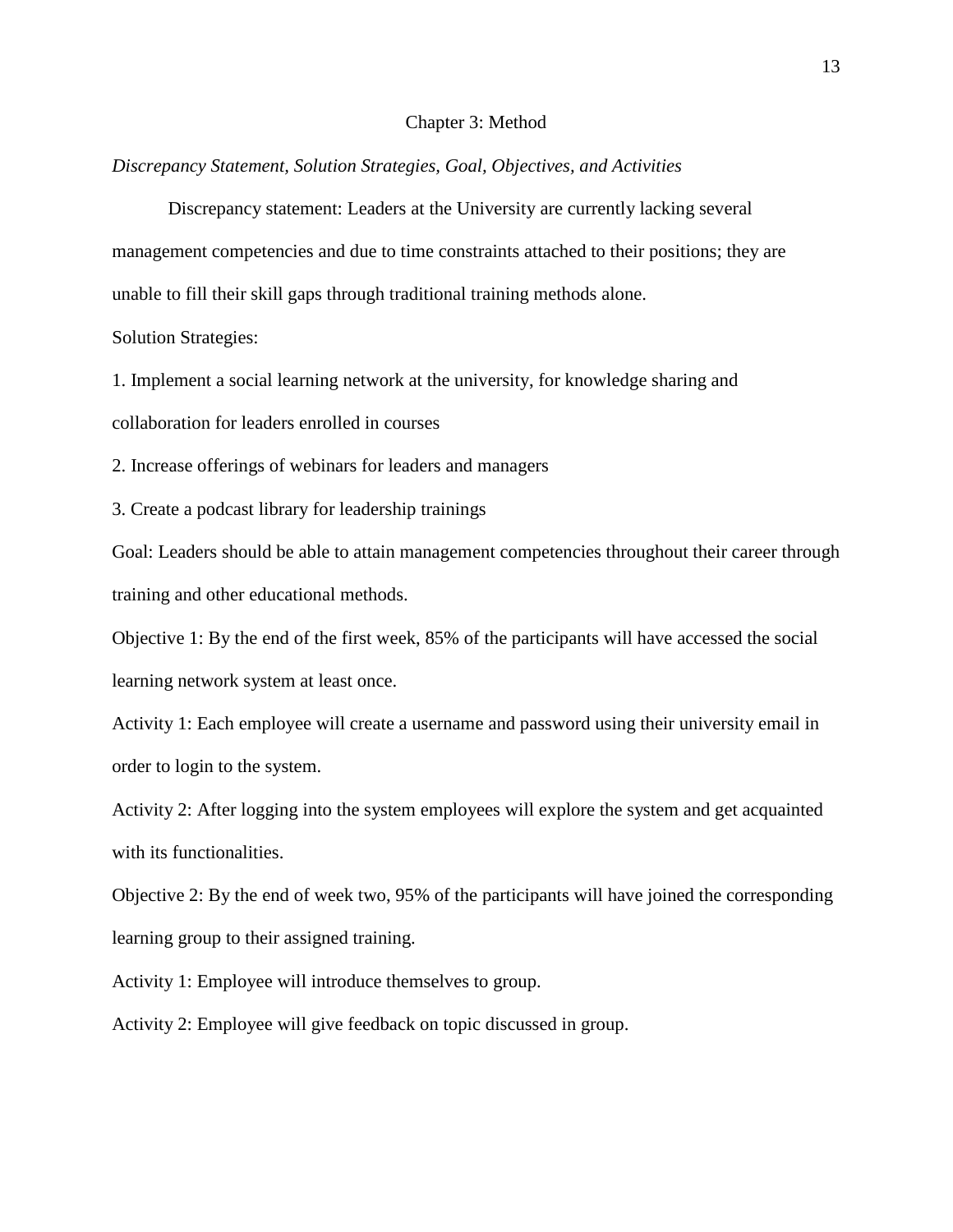#### Chapter 3: Method

*Discrepancy Statement, Solution Strategies, Goal, Objectives, and Activities*

Discrepancy statement: Leaders at the University are currently lacking several management competencies and due to time constraints attached to their positions; they are unable to fill their skill gaps through traditional training methods alone.

Solution Strategies:

1. Implement a social learning network at the university, for knowledge sharing and collaboration for leaders enrolled in courses

2. Increase offerings of webinars for leaders and managers

3. Create a podcast library for leadership trainings

Goal: Leaders should be able to attain management competencies throughout their career through training and other educational methods.

Objective 1: By the end of the first week, 85% of the participants will have accessed the social learning network system at least once.

Activity 1: Each employee will create a username and password using their university email in order to login to the system.

Activity 2: After logging into the system employees will explore the system and get acquainted with its functionalities.

Objective 2: By the end of week two, 95% of the participants will have joined the corresponding learning group to their assigned training.

Activity 1: Employee will introduce themselves to group.

Activity 2: Employee will give feedback on topic discussed in group.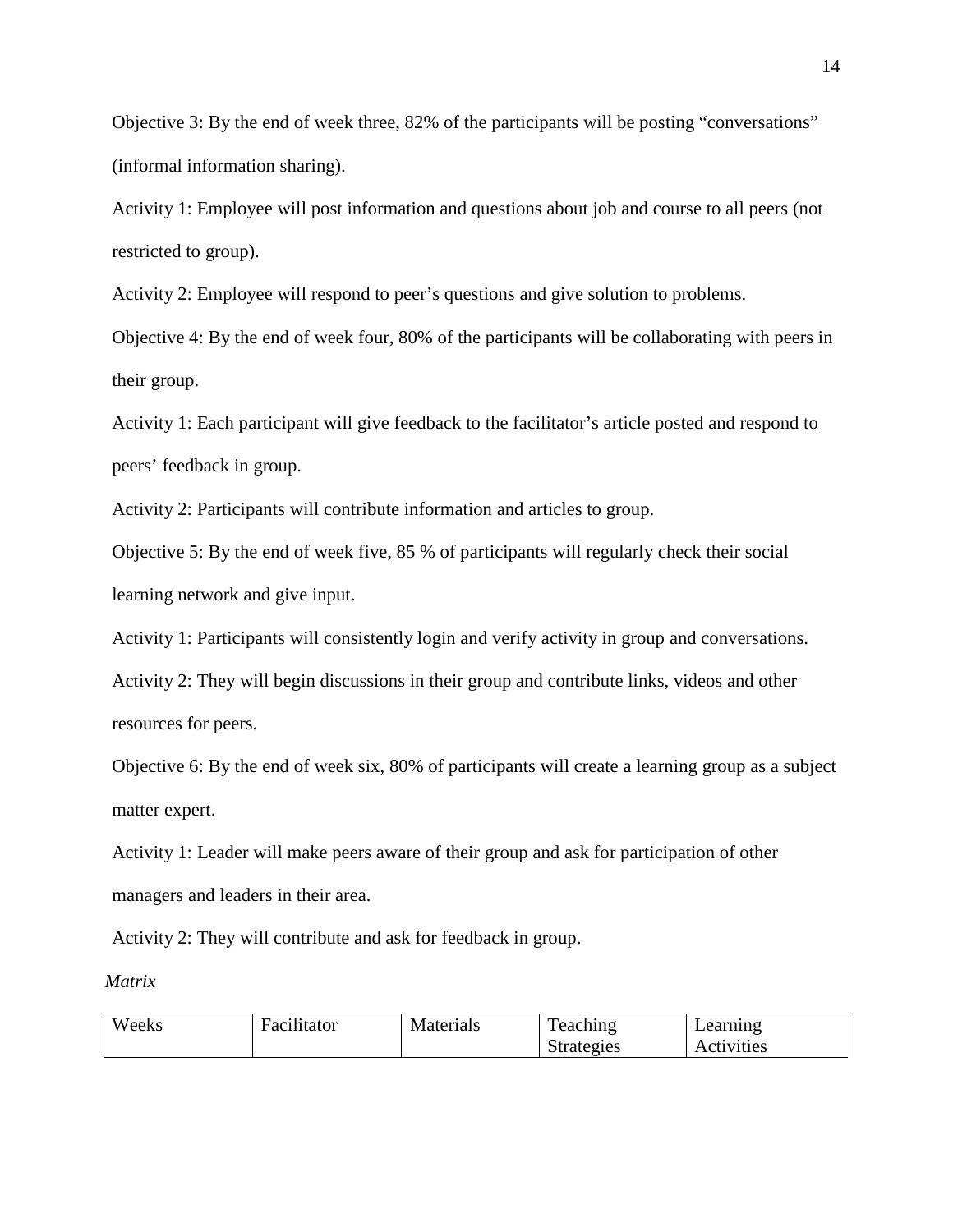Objective 3: By the end of week three, 82% of the participants will be posting "conversations" (informal information sharing).

Activity 1: Employee will post information and questions about job and course to all peers (not restricted to group).

Activity 2: Employee will respond to peer's questions and give solution to problems.

Objective 4: By the end of week four, 80% of the participants will be collaborating with peers in their group.

Activity 1: Each participant will give feedback to the facilitator's article posted and respond to peers' feedback in group.

Activity 2: Participants will contribute information and articles to group.

Objective 5: By the end of week five, 85 % of participants will regularly check their social learning network and give input.

Activity 1: Participants will consistently login and verify activity in group and conversations.

Activity 2: They will begin discussions in their group and contribute links, videos and other resources for peers.

Objective 6: By the end of week six, 80% of participants will create a learning group as a subject matter expert.

Activity 1: Leader will make peers aware of their group and ask for participation of other managers and leaders in their area.

Activity 2: They will contribute and ask for feedback in group.

*Matrix*

| Weeks | $\cdots$<br>Facilitator | Materials | Teaching   | Learning   |
|-------|-------------------------|-----------|------------|------------|
|       |                         |           | Strategies | Activities |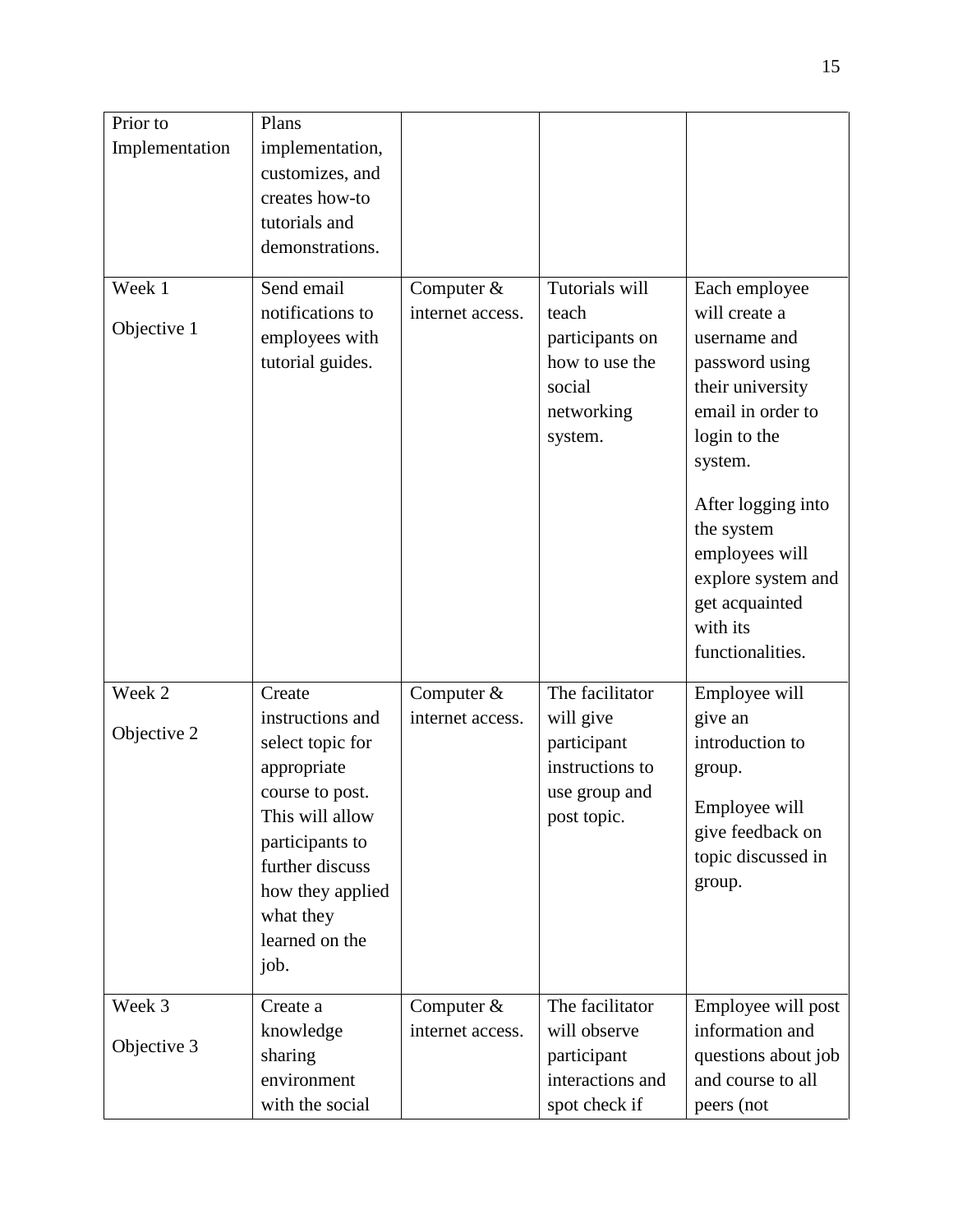| Prior to       | Plans            |                  |                  |                     |
|----------------|------------------|------------------|------------------|---------------------|
| Implementation | implementation,  |                  |                  |                     |
|                | customizes, and  |                  |                  |                     |
|                | creates how-to   |                  |                  |                     |
|                | tutorials and    |                  |                  |                     |
|                | demonstrations.  |                  |                  |                     |
|                |                  |                  |                  |                     |
| Week 1         | Send email       | Computer &       | Tutorials will   | Each employee       |
|                | notifications to | internet access. | teach            | will create a       |
| Objective 1    | employees with   |                  | participants on  | username and        |
|                | tutorial guides. |                  | how to use the   | password using      |
|                |                  |                  | social           | their university    |
|                |                  |                  | networking       | email in order to   |
|                |                  |                  | system.          | login to the        |
|                |                  |                  |                  | system.             |
|                |                  |                  |                  | After logging into  |
|                |                  |                  |                  | the system          |
|                |                  |                  |                  | employees will      |
|                |                  |                  |                  | explore system and  |
|                |                  |                  |                  | get acquainted      |
|                |                  |                  |                  | with its            |
|                |                  |                  |                  | functionalities.    |
|                |                  |                  |                  |                     |
| Week 2         | Create           | Computer $&$     | The facilitator  | Employee will       |
| Objective 2    | instructions and | internet access. | will give        | give an             |
|                | select topic for |                  | participant      | introduction to     |
|                | appropriate      |                  | instructions to  | group.              |
|                | course to post.  |                  | use group and    | Employee will       |
|                | This will allow  |                  | post topic.      | give feedback on    |
|                | participants to  |                  |                  | topic discussed in  |
|                | further discuss  |                  |                  | group.              |
|                | how they applied |                  |                  |                     |
|                | what they        |                  |                  |                     |
|                | learned on the   |                  |                  |                     |
|                | job.             |                  |                  |                     |
| Week 3         | Create a         | Computer $&$     | The facilitator  | Employee will post  |
|                | knowledge        | internet access. | will observe     | information and     |
| Objective 3    | sharing          |                  | participant      | questions about job |
|                | environment      |                  | interactions and | and course to all   |
|                | with the social  |                  | spot check if    | peers (not          |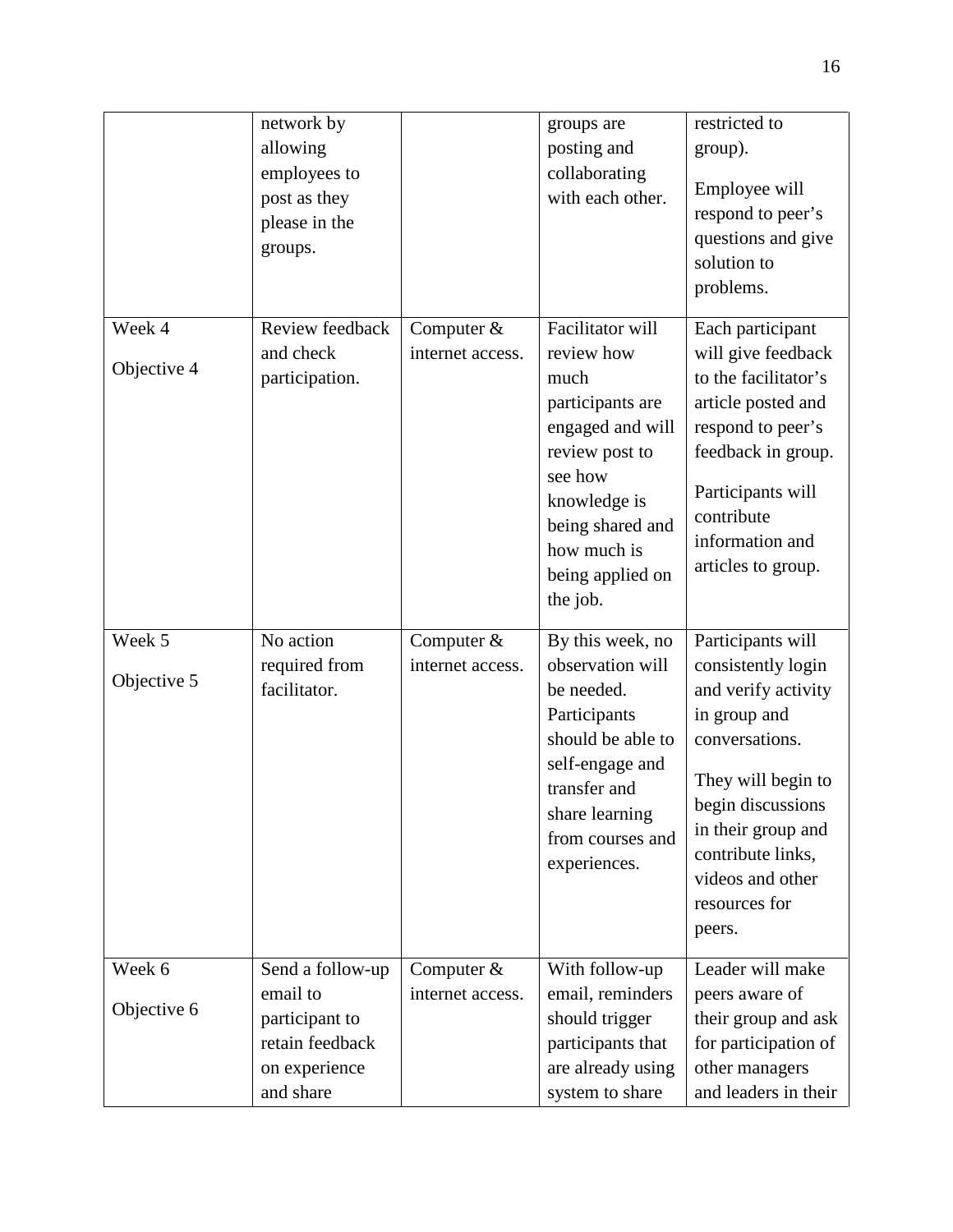|                       | network by<br>allowing<br>employees to<br>post as they<br>please in the<br>groups.              |                                  | groups are<br>posting and<br>collaborating<br>with each other.                                                                                                                                 | restricted to<br>group).<br>Employee will<br>respond to peer's<br>questions and give<br>solution to<br>problems.                                                                                                                      |
|-----------------------|-------------------------------------------------------------------------------------------------|----------------------------------|------------------------------------------------------------------------------------------------------------------------------------------------------------------------------------------------|---------------------------------------------------------------------------------------------------------------------------------------------------------------------------------------------------------------------------------------|
| Week 4<br>Objective 4 | Review feedback<br>and check<br>participation.                                                  | Computer &<br>internet access.   | Facilitator will<br>review how<br>much<br>participants are<br>engaged and will<br>review post to<br>see how<br>knowledge is<br>being shared and<br>how much is<br>being applied on<br>the job. | Each participant<br>will give feedback<br>to the facilitator's<br>article posted and<br>respond to peer's<br>feedback in group.<br>Participants will<br>contribute<br>information and<br>articles to group.                           |
| Week 5<br>Objective 5 | No action<br>required from<br>facilitator.                                                      | Computer &<br>internet access.   | By this week, no<br>observation will<br>be needed.<br>Participants<br>should be able to<br>self-engage and<br>transfer and<br>share learning<br>from courses and<br>experiences.               | Participants will<br>consistently login<br>and verify activity<br>in group and<br>conversations.<br>They will begin to<br>begin discussions<br>in their group and<br>contribute links,<br>videos and other<br>resources for<br>peers. |
| Week 6<br>Objective 6 | Send a follow-up<br>email to<br>participant to<br>retain feedback<br>on experience<br>and share | Computer $&$<br>internet access. | With follow-up<br>email, reminders<br>should trigger<br>participants that<br>are already using<br>system to share                                                                              | Leader will make<br>peers aware of<br>their group and ask<br>for participation of<br>other managers<br>and leaders in their                                                                                                           |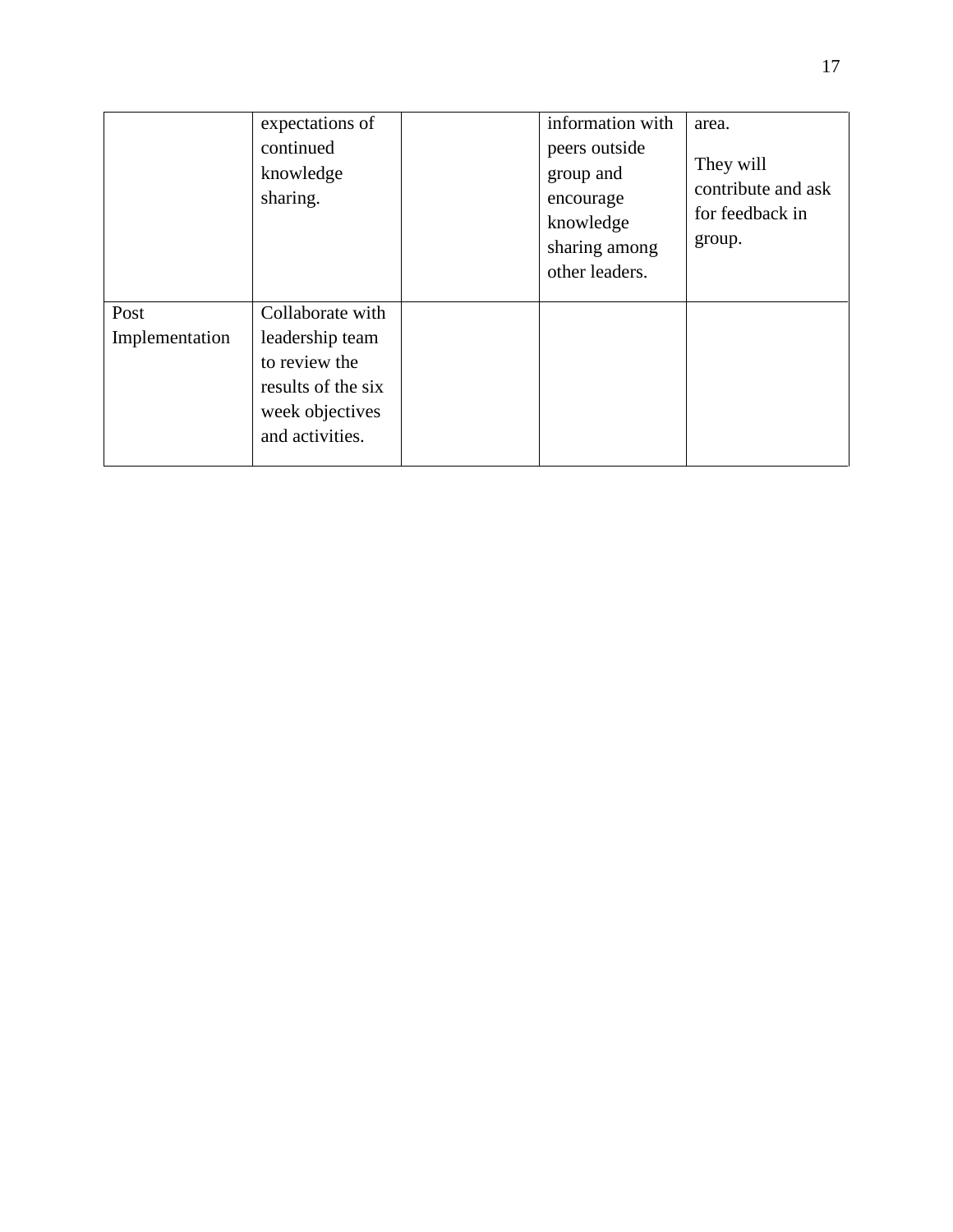|                        | expectations of<br>continued<br>knowledge<br>sharing.                                                            | information with<br>peers outside<br>group and<br>encourage<br>knowledge<br>sharing among<br>other leaders. | area.<br>They will<br>contribute and ask<br>for feedback in<br>group. |
|------------------------|------------------------------------------------------------------------------------------------------------------|-------------------------------------------------------------------------------------------------------------|-----------------------------------------------------------------------|
| Post<br>Implementation | Collaborate with<br>leadership team<br>to review the<br>results of the six<br>week objectives<br>and activities. |                                                                                                             |                                                                       |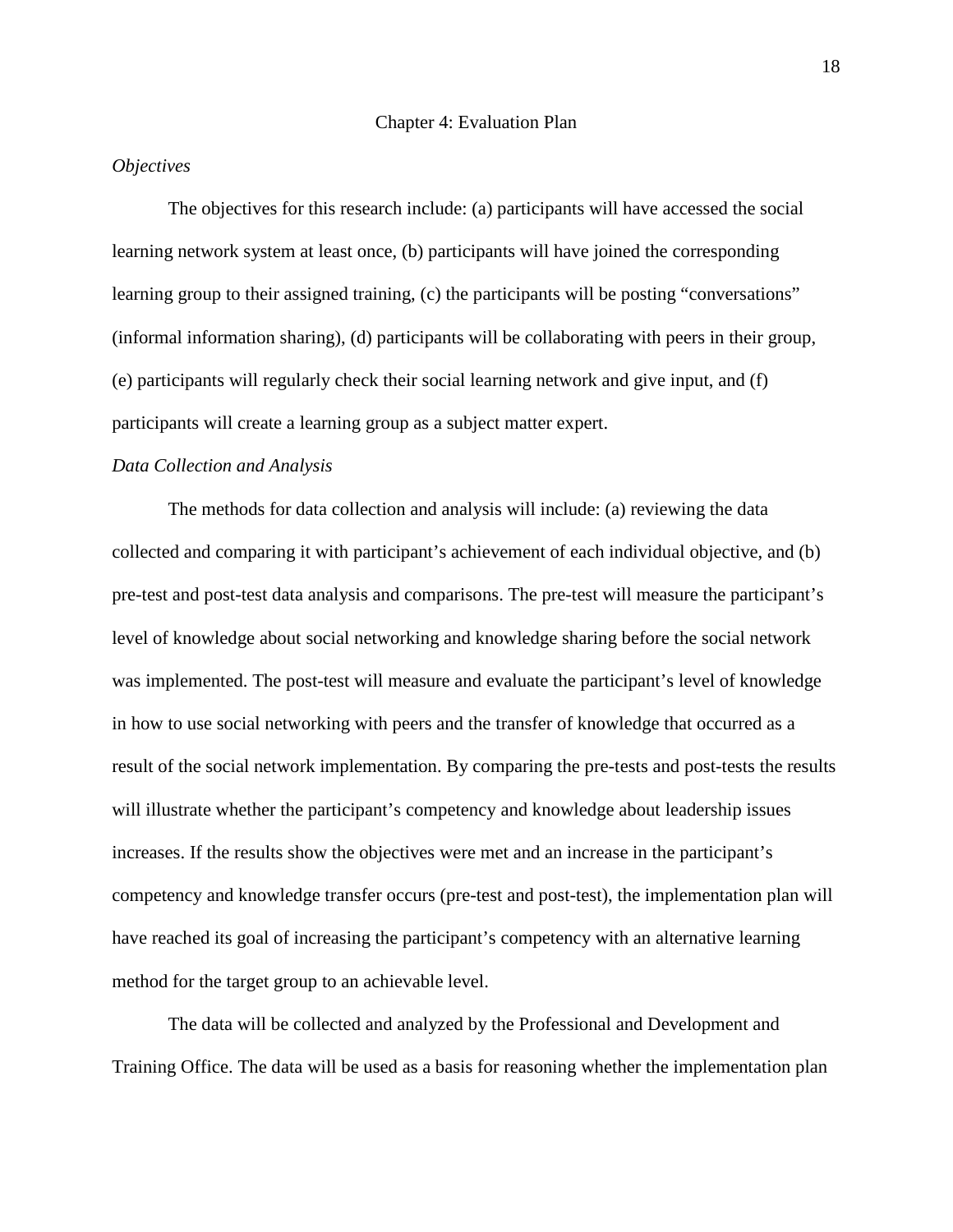# *Objectives*

The objectives for this research include: (a) participants will have accessed the social learning network system at least once, (b) participants will have joined the corresponding learning group to their assigned training, (c) the participants will be posting "conversations" (informal information sharing), (d) participants will be collaborating with peers in their group, (e) participants will regularly check their social learning network and give input, and (f) participants will create a learning group as a subject matter expert.

# *Data Collection and Analysis*

The methods for data collection and analysis will include: (a) reviewing the data collected and comparing it with participant's achievement of each individual objective, and (b) pre-test and post-test data analysis and comparisons. The pre-test will measure the participant's level of knowledge about social networking and knowledge sharing before the social network was implemented. The post-test will measure and evaluate the participant's level of knowledge in how to use social networking with peers and the transfer of knowledge that occurred as a result of the social network implementation. By comparing the pre-tests and post-tests the results will illustrate whether the participant's competency and knowledge about leadership issues increases. If the results show the objectives were met and an increase in the participant's competency and knowledge transfer occurs (pre-test and post-test), the implementation plan will have reached its goal of increasing the participant's competency with an alternative learning method for the target group to an achievable level.

The data will be collected and analyzed by the Professional and Development and Training Office. The data will be used as a basis for reasoning whether the implementation plan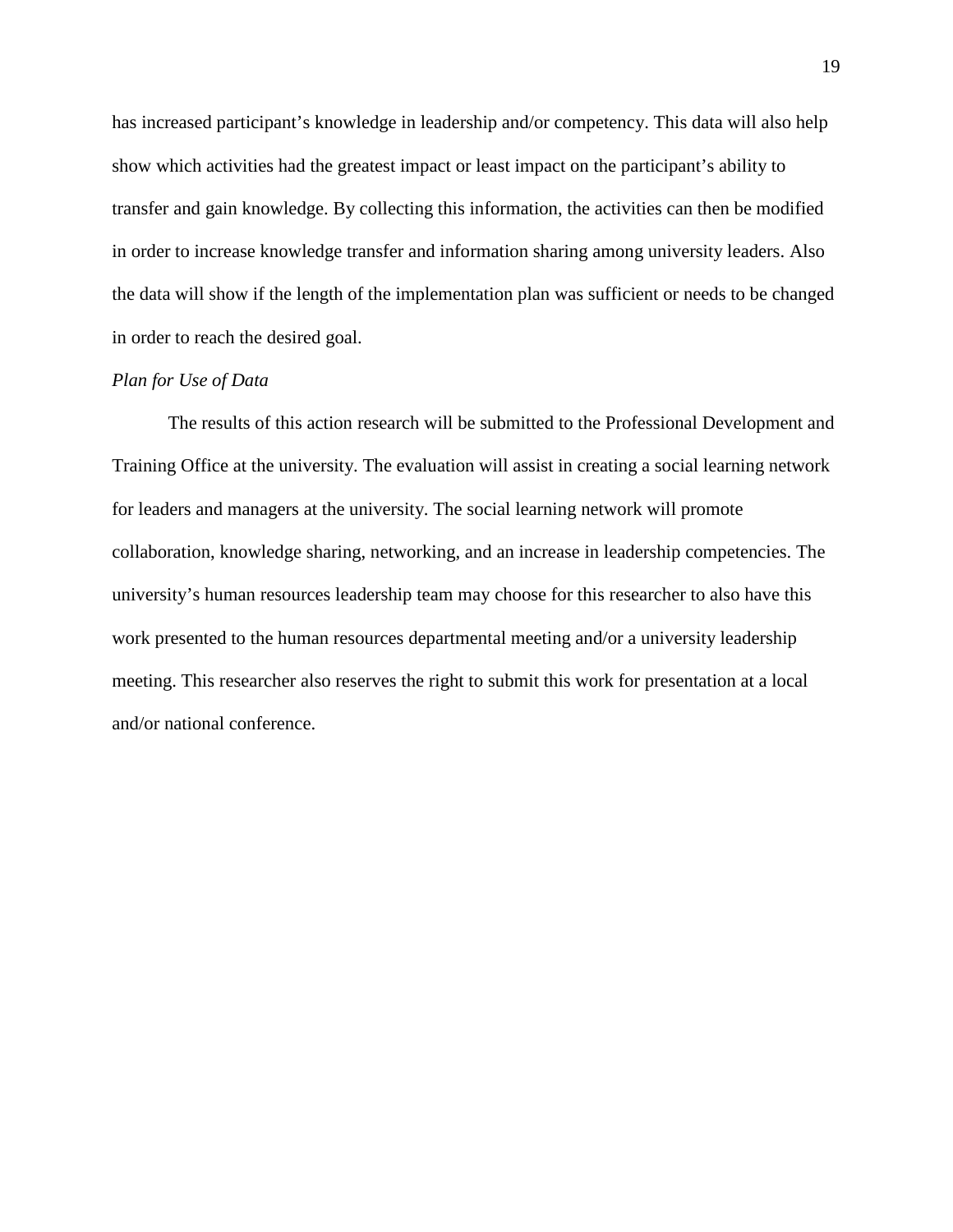has increased participant's knowledge in leadership and/or competency. This data will also help show which activities had the greatest impact or least impact on the participant's ability to transfer and gain knowledge. By collecting this information, the activities can then be modified in order to increase knowledge transfer and information sharing among university leaders. Also the data will show if the length of the implementation plan was sufficient or needs to be changed in order to reach the desired goal.

## *Plan for Use of Data*

The results of this action research will be submitted to the Professional Development and Training Office at the university. The evaluation will assist in creating a social learning network for leaders and managers at the university. The social learning network will promote collaboration, knowledge sharing, networking, and an increase in leadership competencies. The university's human resources leadership team may choose for this researcher to also have this work presented to the human resources departmental meeting and/or a university leadership meeting. This researcher also reserves the right to submit this work for presentation at a local and/or national conference.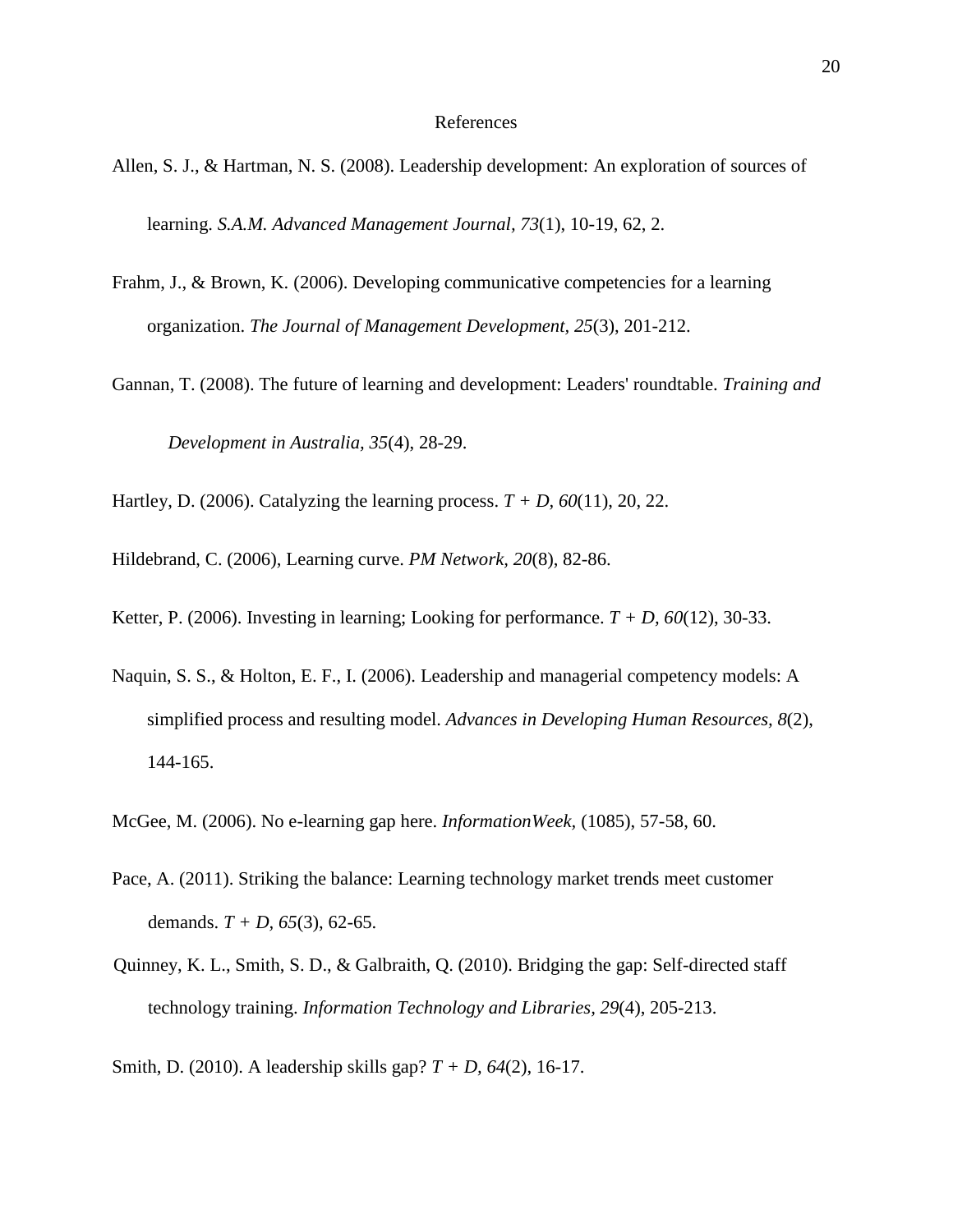#### References

- Allen, S. J., & Hartman, N. S. (2008). Leadership development: An exploration of sources of learning. *S.A.M. Advanced Management Journal, 73*(1), 10-19, 62, 2.
- Frahm, J., & Brown, K. (2006). Developing communicative competencies for a learning organization. *The Journal of Management Development, 25*(3), 201-212.
- Gannan, T. (2008). The future of learning and development: Leaders' roundtable. *Training and Development in Australia, 35*(4), 28-29.
- Hartley, D. (2006). Catalyzing the learning process. *T + D, 60*(11), 20, 22.
- Hildebrand, C. (2006), Learning curve. *PM Network, 20*(8), 82-86.
- Ketter, P. (2006). Investing in learning; Looking for performance.  $T + D$ , 60(12), 30-33.
- Naquin, S. S., & Holton, E. F., I. (2006). Leadership and managerial competency models: A simplified process and resulting model. *Advances in Developing Human Resources, 8*(2), 144-165.
- McGee, M. (2006). No e-learning gap here. *InformationWeek,* (1085), 57-58, 60.
- Pace, A. (2011). Striking the balance: Learning technology market trends meet customer demands. *T + D, 65*(3), 62-65.
- Quinney, K. L., Smith, S. D., & Galbraith, Q. (2010). Bridging the gap: Self-directed staff technology training. *Information Technology and Libraries, 29*(4), 205-213.
- Smith, D. (2010). A leadership skills gap? *T + D, 64*(2), 16-17.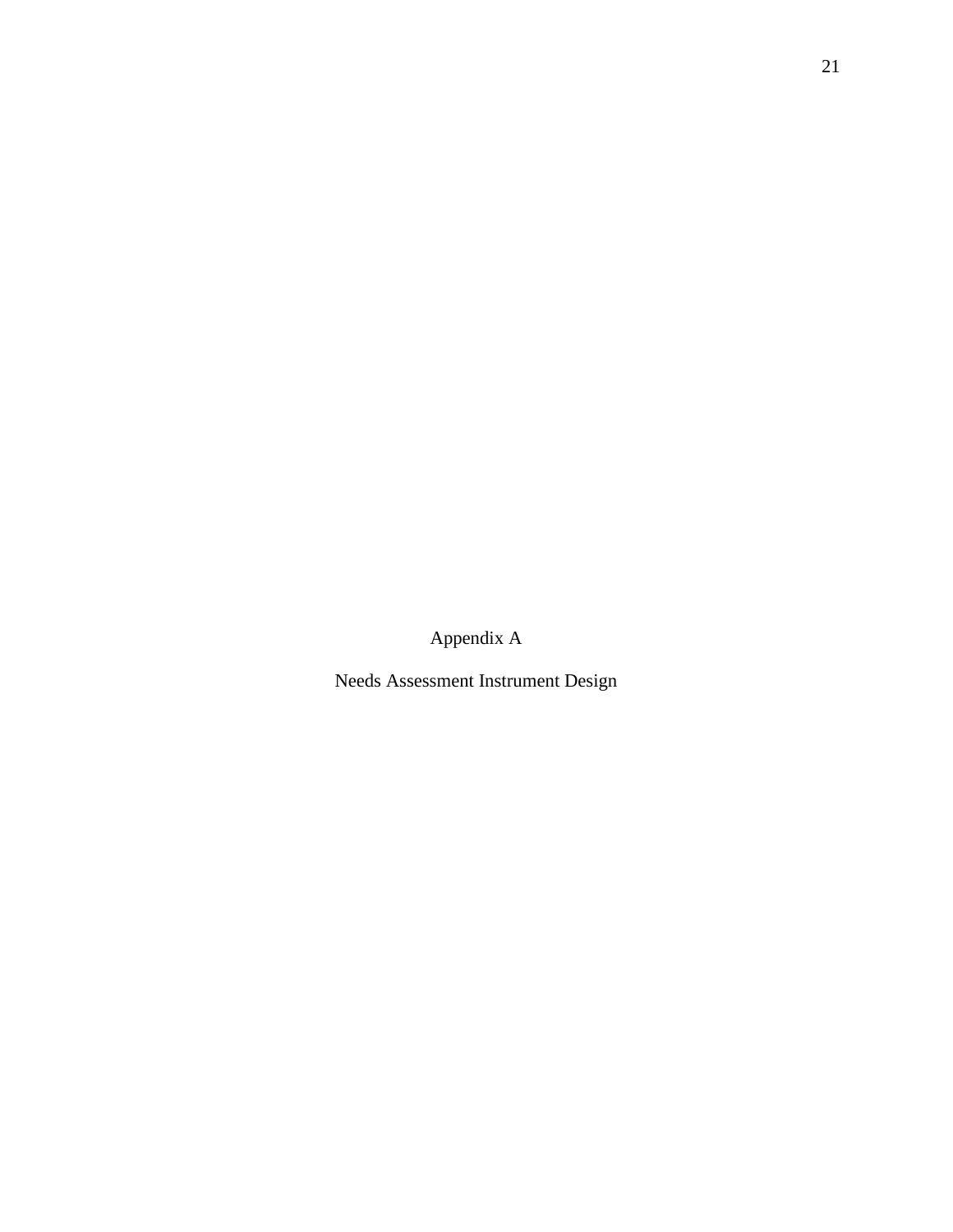Appendix A

Needs Assessment Instrument Design